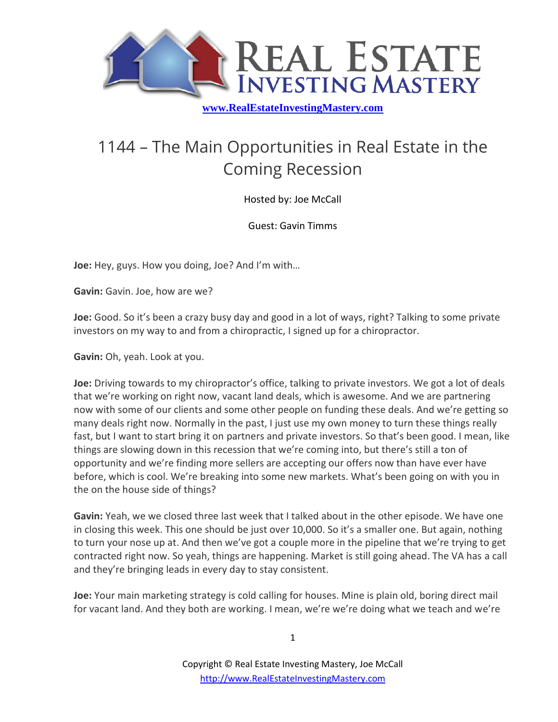

## 1144 – The Main Opportunities in Real Estate in the Coming Recession

Hosted by: Joe McCall

Guest: Gavin Timms

**Joe:** Hey, guys. How you doing, Joe? And I'm with…

**Gavin:** Gavin. Joe, how are we?

**Joe:** Good. So it's been a crazy busy day and good in a lot of ways, right? Talking to some private investors on my way to and from a chiropractic, I signed up for a chiropractor.

**Gavin:** Oh, yeah. Look at you.

**Joe:** Driving towards to my chiropractor's office, talking to private investors. We got a lot of deals that we're working on right now, vacant land deals, which is awesome. And we are partnering now with some of our clients and some other people on funding these deals. And we're getting so many deals right now. Normally in the past, I just use my own money to turn these things really fast, but I want to start bring it on partners and private investors. So that's been good. I mean, like things are slowing down in this recession that we're coming into, but there's still a ton of opportunity and we're finding more sellers are accepting our offers now than have ever have before, which is cool. We're breaking into some new markets. What's been going on with you in the on the house side of things?

**Gavin:** Yeah, we we closed three last week that I talked about in the other episode. We have one in closing this week. This one should be just over 10,000. So it's a smaller one. But again, nothing to turn your nose up at. And then we've got a couple more in the pipeline that we're trying to get contracted right now. So yeah, things are happening. Market is still going ahead. The VA has a call and they're bringing leads in every day to stay consistent.

**Joe:** Your main marketing strategy is cold calling for houses. Mine is plain old, boring direct mail for vacant land. And they both are working. I mean, we're we're doing what we teach and we're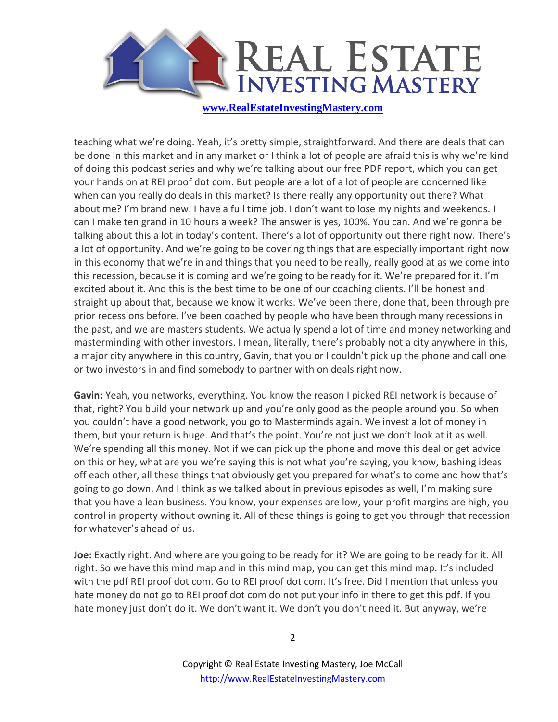

teaching what we're doing. Yeah, it's pretty simple, straightforward. And there are deals that can be done in this market and in any market or I think a lot of people are afraid this is why we're kind of doing this podcast series and why we're talking about our free PDF report, which you can get your hands on at REI proof dot com. But people are a lot of a lot of people are concerned like when can you really do deals in this market? Is there really any opportunity out there? What about me? I'm brand new. I have a full time job. I don't want to lose my nights and weekends. I can I make ten grand in 10 hours a week? The answer is yes, 100%. You can. And we're gonna be talking about this a lot in today's content. There's a lot of opportunity out there right now. There's a lot of opportunity. And we're going to be covering things that are especially important right now in this economy that we're in and things that you need to be really, really good at as we come into this recession, because it is coming and we're going to be ready for it. We're prepared for it. I'm excited about it. And this is the best time to be one of our coaching clients. I'll be honest and straight up about that, because we know it works. We've been there, done that, been through pre prior recessions before. I've been coached by people who have been through many recessions in the past, and we are masters students. We actually spend a lot of time and money networking and masterminding with other investors. I mean, literally, there's probably not a city anywhere in this, a major city anywhere in this country, Gavin, that you or I couldn't pick up the phone and call one or two investors in and find somebody to partner with on deals right now.

**Gavin:** Yeah, you networks, everything. You know the reason I picked REI network is because of that, right? You build your network up and you're only good as the people around you. So when you couldn't have a good network, you go to Masterminds again. We invest a lot of money in them, but your return is huge. And that's the point. You're not just we don't look at it as well. We're spending all this money. Not if we can pick up the phone and move this deal or get advice on this or hey, what are you we're saying this is not what you're saying, you know, bashing ideas off each other, all these things that obviously get you prepared for what's to come and how that's going to go down. And I think as we talked about in previous episodes as well, I'm making sure that you have a lean business. You know, your expenses are low, your profit margins are high, you control in property without owning it. All of these things is going to get you through that recession for whatever's ahead of us.

**Joe:** Exactly right. And where are you going to be ready for it? We are going to be ready for it. All right. So we have this mind map and in this mind map, you can get this mind map. It's included with the pdf REI proof dot com. Go to REI proof dot com. It's free. Did I mention that unless you hate money do not go to REI proof dot com do not put your info in there to get this pdf. If you hate money just don't do it. We don't want it. We don't you don't need it. But anyway, we're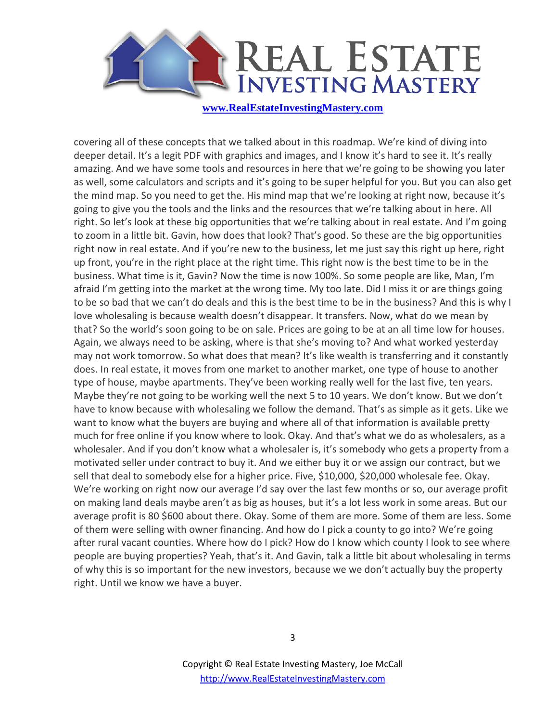

covering all of these concepts that we talked about in this roadmap. We're kind of diving into deeper detail. It's a legit PDF with graphics and images, and I know it's hard to see it. It's really amazing. And we have some tools and resources in here that we're going to be showing you later as well, some calculators and scripts and it's going to be super helpful for you. But you can also get the mind map. So you need to get the. His mind map that we're looking at right now, because it's going to give you the tools and the links and the resources that we're talking about in here. All right. So let's look at these big opportunities that we're talking about in real estate. And I'm going to zoom in a little bit. Gavin, how does that look? That's good. So these are the big opportunities right now in real estate. And if you're new to the business, let me just say this right up here, right up front, you're in the right place at the right time. This right now is the best time to be in the business. What time is it, Gavin? Now the time is now 100%. So some people are like, Man, I'm afraid I'm getting into the market at the wrong time. My too late. Did I miss it or are things going to be so bad that we can't do deals and this is the best time to be in the business? And this is why I love wholesaling is because wealth doesn't disappear. It transfers. Now, what do we mean by that? So the world's soon going to be on sale. Prices are going to be at an all time low for houses. Again, we always need to be asking, where is that she's moving to? And what worked yesterday may not work tomorrow. So what does that mean? It's like wealth is transferring and it constantly does. In real estate, it moves from one market to another market, one type of house to another type of house, maybe apartments. They've been working really well for the last five, ten years. Maybe they're not going to be working well the next 5 to 10 years. We don't know. But we don't have to know because with wholesaling we follow the demand. That's as simple as it gets. Like we want to know what the buyers are buying and where all of that information is available pretty much for free online if you know where to look. Okay. And that's what we do as wholesalers, as a wholesaler. And if you don't know what a wholesaler is, it's somebody who gets a property from a motivated seller under contract to buy it. And we either buy it or we assign our contract, but we sell that deal to somebody else for a higher price. Five, \$10,000, \$20,000 wholesale fee. Okay. We're working on right now our average I'd say over the last few months or so, our average profit on making land deals maybe aren't as big as houses, but it's a lot less work in some areas. But our average profit is 80 \$600 about there. Okay. Some of them are more. Some of them are less. Some of them were selling with owner financing. And how do I pick a county to go into? We're going after rural vacant counties. Where how do I pick? How do I know which county I look to see where people are buying properties? Yeah, that's it. And Gavin, talk a little bit about wholesaling in terms of why this is so important for the new investors, because we we don't actually buy the property right. Until we know we have a buyer.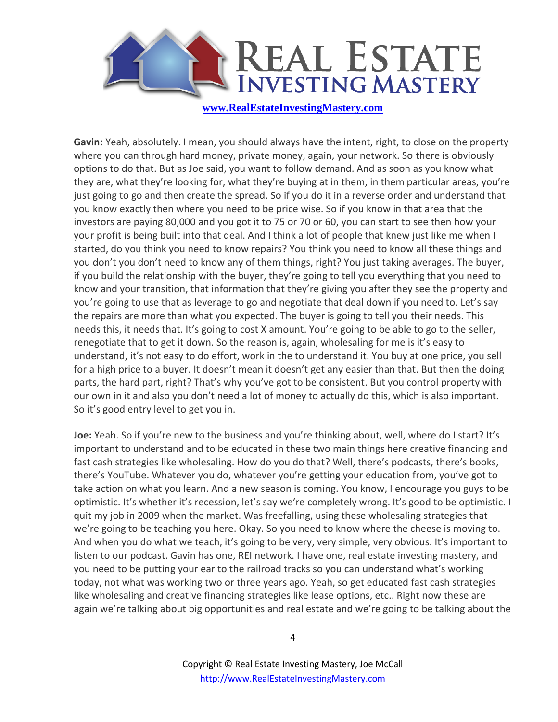

**Gavin:** Yeah, absolutely. I mean, you should always have the intent, right, to close on the property where you can through hard money, private money, again, your network. So there is obviously options to do that. But as Joe said, you want to follow demand. And as soon as you know what they are, what they're looking for, what they're buying at in them, in them particular areas, you're just going to go and then create the spread. So if you do it in a reverse order and understand that you know exactly then where you need to be price wise. So if you know in that area that the investors are paying 80,000 and you got it to 75 or 70 or 60, you can start to see then how your your profit is being built into that deal. And I think a lot of people that knew just like me when I started, do you think you need to know repairs? You think you need to know all these things and you don't you don't need to know any of them things, right? You just taking averages. The buyer, if you build the relationship with the buyer, they're going to tell you everything that you need to know and your transition, that information that they're giving you after they see the property and you're going to use that as leverage to go and negotiate that deal down if you need to. Let's say the repairs are more than what you expected. The buyer is going to tell you their needs. This needs this, it needs that. It's going to cost X amount. You're going to be able to go to the seller, renegotiate that to get it down. So the reason is, again, wholesaling for me is it's easy to understand, it's not easy to do effort, work in the to understand it. You buy at one price, you sell for a high price to a buyer. It doesn't mean it doesn't get any easier than that. But then the doing parts, the hard part, right? That's why you've got to be consistent. But you control property with our own in it and also you don't need a lot of money to actually do this, which is also important. So it's good entry level to get you in.

**Joe:** Yeah. So if you're new to the business and you're thinking about, well, where do I start? It's important to understand and to be educated in these two main things here creative financing and fast cash strategies like wholesaling. How do you do that? Well, there's podcasts, there's books, there's YouTube. Whatever you do, whatever you're getting your education from, you've got to take action on what you learn. And a new season is coming. You know, I encourage you guys to be optimistic. It's whether it's recession, let's say we're completely wrong. It's good to be optimistic. I quit my job in 2009 when the market. Was freefalling, using these wholesaling strategies that we're going to be teaching you here. Okay. So you need to know where the cheese is moving to. And when you do what we teach, it's going to be very, very simple, very obvious. It's important to listen to our podcast. Gavin has one, REI network. I have one, real estate investing mastery, and you need to be putting your ear to the railroad tracks so you can understand what's working today, not what was working two or three years ago. Yeah, so get educated fast cash strategies like wholesaling and creative financing strategies like lease options, etc.. Right now these are again we're talking about big opportunities and real estate and we're going to be talking about the

4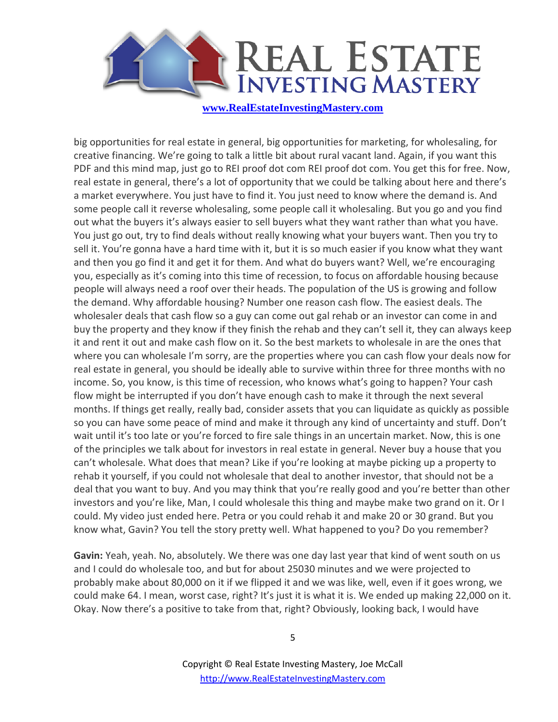

big opportunities for real estate in general, big opportunities for marketing, for wholesaling, for creative financing. We're going to talk a little bit about rural vacant land. Again, if you want this PDF and this mind map, just go to REI proof dot com REI proof dot com. You get this for free. Now, real estate in general, there's a lot of opportunity that we could be talking about here and there's a market everywhere. You just have to find it. You just need to know where the demand is. And some people call it reverse wholesaling, some people call it wholesaling. But you go and you find out what the buyers it's always easier to sell buyers what they want rather than what you have. You just go out, try to find deals without really knowing what your buyers want. Then you try to sell it. You're gonna have a hard time with it, but it is so much easier if you know what they want and then you go find it and get it for them. And what do buyers want? Well, we're encouraging you, especially as it's coming into this time of recession, to focus on affordable housing because people will always need a roof over their heads. The population of the US is growing and follow the demand. Why affordable housing? Number one reason cash flow. The easiest deals. The wholesaler deals that cash flow so a guy can come out gal rehab or an investor can come in and buy the property and they know if they finish the rehab and they can't sell it, they can always keep it and rent it out and make cash flow on it. So the best markets to wholesale in are the ones that where you can wholesale I'm sorry, are the properties where you can cash flow your deals now for real estate in general, you should be ideally able to survive within three for three months with no income. So, you know, is this time of recession, who knows what's going to happen? Your cash flow might be interrupted if you don't have enough cash to make it through the next several months. If things get really, really bad, consider assets that you can liquidate as quickly as possible so you can have some peace of mind and make it through any kind of uncertainty and stuff. Don't wait until it's too late or you're forced to fire sale things in an uncertain market. Now, this is one of the principles we talk about for investors in real estate in general. Never buy a house that you can't wholesale. What does that mean? Like if you're looking at maybe picking up a property to rehab it yourself, if you could not wholesale that deal to another investor, that should not be a deal that you want to buy. And you may think that you're really good and you're better than other investors and you're like, Man, I could wholesale this thing and maybe make two grand on it. Or I could. My video just ended here. Petra or you could rehab it and make 20 or 30 grand. But you know what, Gavin? You tell the story pretty well. What happened to you? Do you remember?

**Gavin:** Yeah, yeah. No, absolutely. We there was one day last year that kind of went south on us and I could do wholesale too, and but for about 25030 minutes and we were projected to probably make about 80,000 on it if we flipped it and we was like, well, even if it goes wrong, we could make 64. I mean, worst case, right? It's just it is what it is. We ended up making 22,000 on it. Okay. Now there's a positive to take from that, right? Obviously, looking back, I would have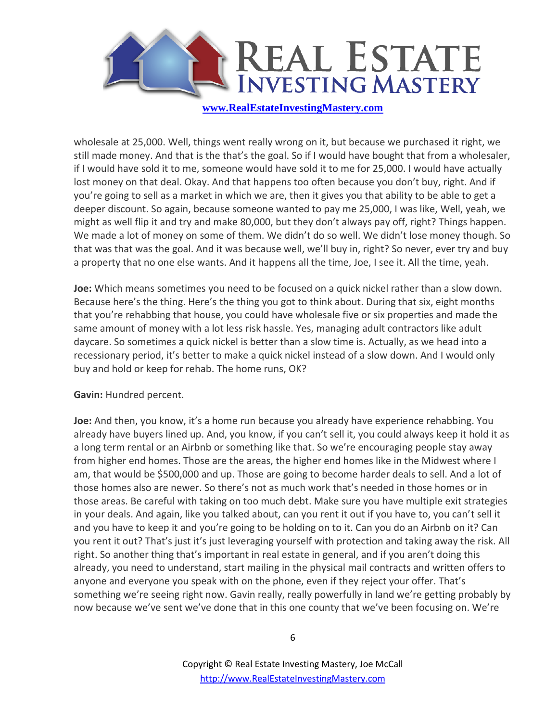

wholesale at 25,000. Well, things went really wrong on it, but because we purchased it right, we still made money. And that is the that's the goal. So if I would have bought that from a wholesaler, if I would have sold it to me, someone would have sold it to me for 25,000. I would have actually lost money on that deal. Okay. And that happens too often because you don't buy, right. And if you're going to sell as a market in which we are, then it gives you that ability to be able to get a deeper discount. So again, because someone wanted to pay me 25,000, I was like, Well, yeah, we might as well flip it and try and make 80,000, but they don't always pay off, right? Things happen. We made a lot of money on some of them. We didn't do so well. We didn't lose money though. So that was that was the goal. And it was because well, we'll buy in, right? So never, ever try and buy a property that no one else wants. And it happens all the time, Joe, I see it. All the time, yeah.

**Joe:** Which means sometimes you need to be focused on a quick nickel rather than a slow down. Because here's the thing. Here's the thing you got to think about. During that six, eight months that you're rehabbing that house, you could have wholesale five or six properties and made the same amount of money with a lot less risk hassle. Yes, managing adult contractors like adult daycare. So sometimes a quick nickel is better than a slow time is. Actually, as we head into a recessionary period, it's better to make a quick nickel instead of a slow down. And I would only buy and hold or keep for rehab. The home runs, OK?

**Gavin:** Hundred percent.

**Joe:** And then, you know, it's a home run because you already have experience rehabbing. You already have buyers lined up. And, you know, if you can't sell it, you could always keep it hold it as a long term rental or an Airbnb or something like that. So we're encouraging people stay away from higher end homes. Those are the areas, the higher end homes like in the Midwest where I am, that would be \$500,000 and up. Those are going to become harder deals to sell. And a lot of those homes also are newer. So there's not as much work that's needed in those homes or in those areas. Be careful with taking on too much debt. Make sure you have multiple exit strategies in your deals. And again, like you talked about, can you rent it out if you have to, you can't sell it and you have to keep it and you're going to be holding on to it. Can you do an Airbnb on it? Can you rent it out? That's just it's just leveraging yourself with protection and taking away the risk. All right. So another thing that's important in real estate in general, and if you aren't doing this already, you need to understand, start mailing in the physical mail contracts and written offers to anyone and everyone you speak with on the phone, even if they reject your offer. That's something we're seeing right now. Gavin really, really powerfully in land we're getting probably by now because we've sent we've done that in this one county that we've been focusing on. We're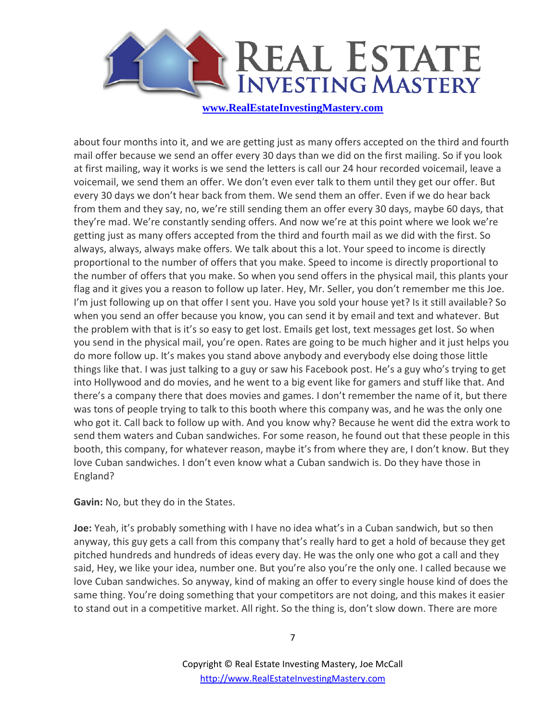

about four months into it, and we are getting just as many offers accepted on the third and fourth mail offer because we send an offer every 30 days than we did on the first mailing. So if you look at first mailing, way it works is we send the letters is call our 24 hour recorded voicemail, leave a voicemail, we send them an offer. We don't even ever talk to them until they get our offer. But every 30 days we don't hear back from them. We send them an offer. Even if we do hear back from them and they say, no, we're still sending them an offer every 30 days, maybe 60 days, that they're mad. We're constantly sending offers. And now we're at this point where we look we're getting just as many offers accepted from the third and fourth mail as we did with the first. So always, always, always make offers. We talk about this a lot. Your speed to income is directly proportional to the number of offers that you make. Speed to income is directly proportional to the number of offers that you make. So when you send offers in the physical mail, this plants your flag and it gives you a reason to follow up later. Hey, Mr. Seller, you don't remember me this Joe. I'm just following up on that offer I sent you. Have you sold your house yet? Is it still available? So when you send an offer because you know, you can send it by email and text and whatever. But the problem with that is it's so easy to get lost. Emails get lost, text messages get lost. So when you send in the physical mail, you're open. Rates are going to be much higher and it just helps you do more follow up. It's makes you stand above anybody and everybody else doing those little things like that. I was just talking to a guy or saw his Facebook post. He's a guy who's trying to get into Hollywood and do movies, and he went to a big event like for gamers and stuff like that. And there's a company there that does movies and games. I don't remember the name of it, but there was tons of people trying to talk to this booth where this company was, and he was the only one who got it. Call back to follow up with. And you know why? Because he went did the extra work to send them waters and Cuban sandwiches. For some reason, he found out that these people in this booth, this company, for whatever reason, maybe it's from where they are, I don't know. But they love Cuban sandwiches. I don't even know what a Cuban sandwich is. Do they have those in England?

**Gavin:** No, but they do in the States.

**Joe:** Yeah, it's probably something with I have no idea what's in a Cuban sandwich, but so then anyway, this guy gets a call from this company that's really hard to get a hold of because they get pitched hundreds and hundreds of ideas every day. He was the only one who got a call and they said, Hey, we like your idea, number one. But you're also you're the only one. I called because we love Cuban sandwiches. So anyway, kind of making an offer to every single house kind of does the same thing. You're doing something that your competitors are not doing, and this makes it easier to stand out in a competitive market. All right. So the thing is, don't slow down. There are more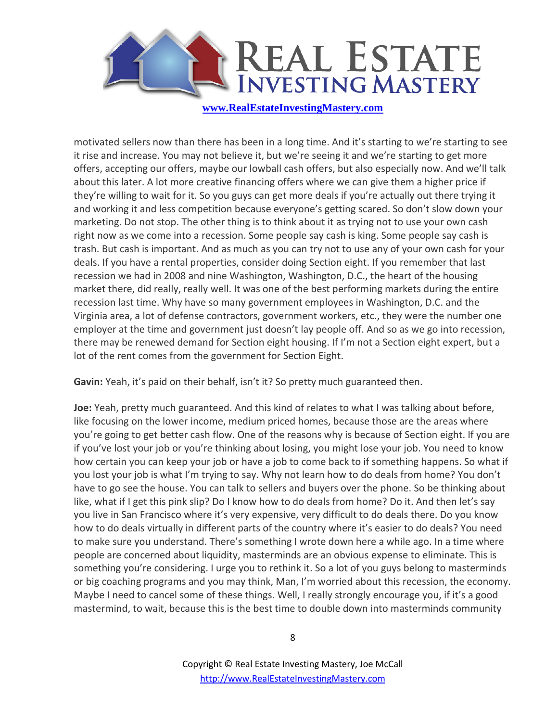

motivated sellers now than there has been in a long time. And it's starting to we're starting to see it rise and increase. You may not believe it, but we're seeing it and we're starting to get more offers, accepting our offers, maybe our lowball cash offers, but also especially now. And we'll talk about this later. A lot more creative financing offers where we can give them a higher price if they're willing to wait for it. So you guys can get more deals if you're actually out there trying it and working it and less competition because everyone's getting scared. So don't slow down your marketing. Do not stop. The other thing is to think about it as trying not to use your own cash right now as we come into a recession. Some people say cash is king. Some people say cash is trash. But cash is important. And as much as you can try not to use any of your own cash for your deals. If you have a rental properties, consider doing Section eight. If you remember that last recession we had in 2008 and nine Washington, Washington, D.C., the heart of the housing market there, did really, really well. It was one of the best performing markets during the entire recession last time. Why have so many government employees in Washington, D.C. and the Virginia area, a lot of defense contractors, government workers, etc., they were the number one employer at the time and government just doesn't lay people off. And so as we go into recession, there may be renewed demand for Section eight housing. If I'm not a Section eight expert, but a lot of the rent comes from the government for Section Eight.

**Gavin:** Yeah, it's paid on their behalf, isn't it? So pretty much guaranteed then.

**Joe:** Yeah, pretty much guaranteed. And this kind of relates to what I was talking about before, like focusing on the lower income, medium priced homes, because those are the areas where you're going to get better cash flow. One of the reasons why is because of Section eight. If you are if you've lost your job or you're thinking about losing, you might lose your job. You need to know how certain you can keep your job or have a job to come back to if something happens. So what if you lost your job is what I'm trying to say. Why not learn how to do deals from home? You don't have to go see the house. You can talk to sellers and buyers over the phone. So be thinking about like, what if I get this pink slip? Do I know how to do deals from home? Do it. And then let's say you live in San Francisco where it's very expensive, very difficult to do deals there. Do you know how to do deals virtually in different parts of the country where it's easier to do deals? You need to make sure you understand. There's something I wrote down here a while ago. In a time where people are concerned about liquidity, masterminds are an obvious expense to eliminate. This is something you're considering. I urge you to rethink it. So a lot of you guys belong to masterminds or big coaching programs and you may think, Man, I'm worried about this recession, the economy. Maybe I need to cancel some of these things. Well, I really strongly encourage you, if it's a good mastermind, to wait, because this is the best time to double down into masterminds community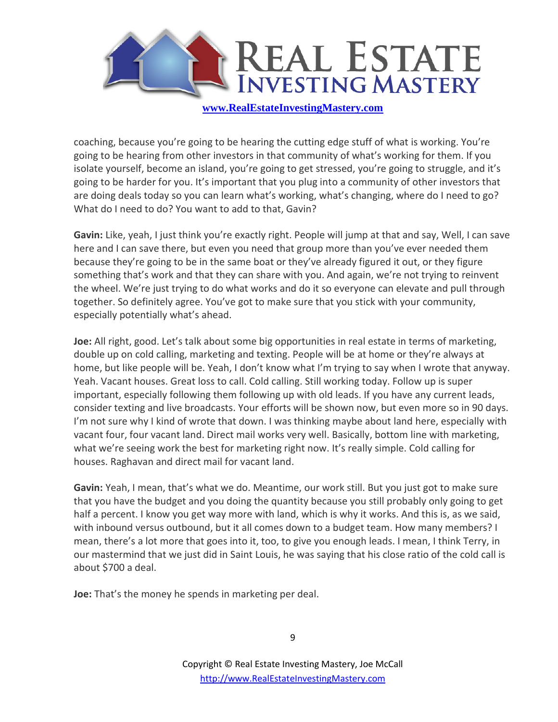

coaching, because you're going to be hearing the cutting edge stuff of what is working. You're going to be hearing from other investors in that community of what's working for them. If you isolate yourself, become an island, you're going to get stressed, you're going to struggle, and it's going to be harder for you. It's important that you plug into a community of other investors that are doing deals today so you can learn what's working, what's changing, where do I need to go? What do I need to do? You want to add to that, Gavin?

**Gavin:** Like, yeah, I just think you're exactly right. People will jump at that and say, Well, I can save here and I can save there, but even you need that group more than you've ever needed them because they're going to be in the same boat or they've already figured it out, or they figure something that's work and that they can share with you. And again, we're not trying to reinvent the wheel. We're just trying to do what works and do it so everyone can elevate and pull through together. So definitely agree. You've got to make sure that you stick with your community, especially potentially what's ahead.

**Joe:** All right, good. Let's talk about some big opportunities in real estate in terms of marketing, double up on cold calling, marketing and texting. People will be at home or they're always at home, but like people will be. Yeah, I don't know what I'm trying to say when I wrote that anyway. Yeah. Vacant houses. Great loss to call. Cold calling. Still working today. Follow up is super important, especially following them following up with old leads. If you have any current leads, consider texting and live broadcasts. Your efforts will be shown now, but even more so in 90 days. I'm not sure why I kind of wrote that down. I was thinking maybe about land here, especially with vacant four, four vacant land. Direct mail works very well. Basically, bottom line with marketing, what we're seeing work the best for marketing right now. It's really simple. Cold calling for houses. Raghavan and direct mail for vacant land.

**Gavin:** Yeah, I mean, that's what we do. Meantime, our work still. But you just got to make sure that you have the budget and you doing the quantity because you still probably only going to get half a percent. I know you get way more with land, which is why it works. And this is, as we said, with inbound versus outbound, but it all comes down to a budget team. How many members? I mean, there's a lot more that goes into it, too, to give you enough leads. I mean, I think Terry, in our mastermind that we just did in Saint Louis, he was saying that his close ratio of the cold call is about \$700 a deal.

**Joe:** That's the money he spends in marketing per deal.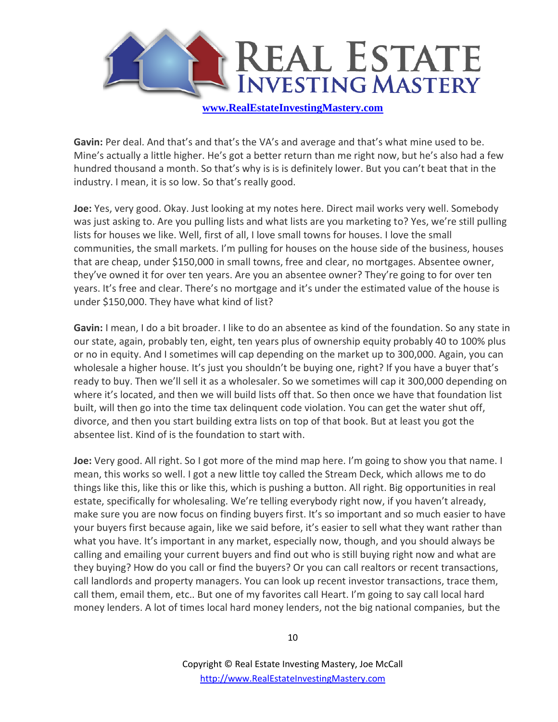

**Gavin:** Per deal. And that's and that's the VA's and average and that's what mine used to be. Mine's actually a little higher. He's got a better return than me right now, but he's also had a few hundred thousand a month. So that's why is is is definitely lower. But you can't beat that in the industry. I mean, it is so low. So that's really good.

**Joe:** Yes, very good. Okay. Just looking at my notes here. Direct mail works very well. Somebody was just asking to. Are you pulling lists and what lists are you marketing to? Yes, we're still pulling lists for houses we like. Well, first of all, I love small towns for houses. I love the small communities, the small markets. I'm pulling for houses on the house side of the business, houses that are cheap, under \$150,000 in small towns, free and clear, no mortgages. Absentee owner, they've owned it for over ten years. Are you an absentee owner? They're going to for over ten years. It's free and clear. There's no mortgage and it's under the estimated value of the house is under \$150,000. They have what kind of list?

**Gavin:** I mean, I do a bit broader. I like to do an absentee as kind of the foundation. So any state in our state, again, probably ten, eight, ten years plus of ownership equity probably 40 to 100% plus or no in equity. And I sometimes will cap depending on the market up to 300,000. Again, you can wholesale a higher house. It's just you shouldn't be buying one, right? If you have a buyer that's ready to buy. Then we'll sell it as a wholesaler. So we sometimes will cap it 300,000 depending on where it's located, and then we will build lists off that. So then once we have that foundation list built, will then go into the time tax delinquent code violation. You can get the water shut off, divorce, and then you start building extra lists on top of that book. But at least you got the absentee list. Kind of is the foundation to start with.

**Joe:** Very good. All right. So I got more of the mind map here. I'm going to show you that name. I mean, this works so well. I got a new little toy called the Stream Deck, which allows me to do things like this, like this or like this, which is pushing a button. All right. Big opportunities in real estate, specifically for wholesaling. We're telling everybody right now, if you haven't already, make sure you are now focus on finding buyers first. It's so important and so much easier to have your buyers first because again, like we said before, it's easier to sell what they want rather than what you have. It's important in any market, especially now, though, and you should always be calling and emailing your current buyers and find out who is still buying right now and what are they buying? How do you call or find the buyers? Or you can call realtors or recent transactions, call landlords and property managers. You can look up recent investor transactions, trace them, call them, email them, etc.. But one of my favorites call Heart. I'm going to say call local hard money lenders. A lot of times local hard money lenders, not the big national companies, but the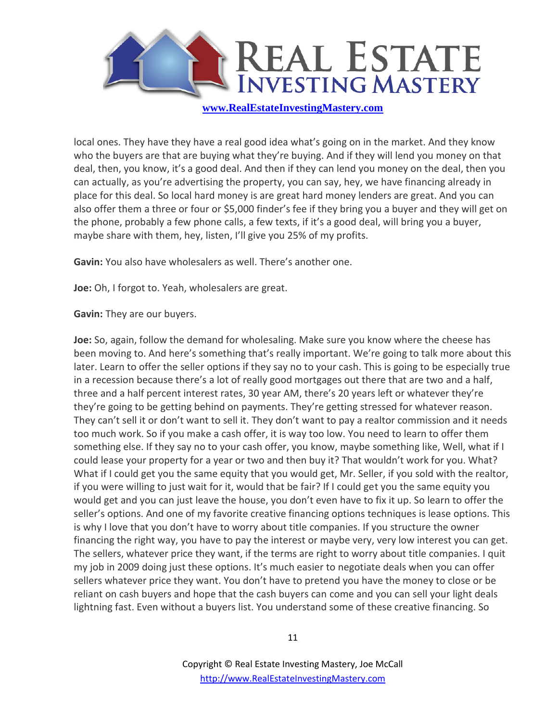

local ones. They have they have a real good idea what's going on in the market. And they know who the buyers are that are buying what they're buying. And if they will lend you money on that deal, then, you know, it's a good deal. And then if they can lend you money on the deal, then you can actually, as you're advertising the property, you can say, hey, we have financing already in place for this deal. So local hard money is are great hard money lenders are great. And you can also offer them a three or four or \$5,000 finder's fee if they bring you a buyer and they will get on the phone, probably a few phone calls, a few texts, if it's a good deal, will bring you a buyer, maybe share with them, hey, listen, I'll give you 25% of my profits.

**Gavin:** You also have wholesalers as well. There's another one.

**Joe:** Oh, I forgot to. Yeah, wholesalers are great.

**Gavin:** They are our buyers.

**Joe:** So, again, follow the demand for wholesaling. Make sure you know where the cheese has been moving to. And here's something that's really important. We're going to talk more about this later. Learn to offer the seller options if they say no to your cash. This is going to be especially true in a recession because there's a lot of really good mortgages out there that are two and a half, three and a half percent interest rates, 30 year AM, there's 20 years left or whatever they're they're going to be getting behind on payments. They're getting stressed for whatever reason. They can't sell it or don't want to sell it. They don't want to pay a realtor commission and it needs too much work. So if you make a cash offer, it is way too low. You need to learn to offer them something else. If they say no to your cash offer, you know, maybe something like, Well, what if I could lease your property for a year or two and then buy it? That wouldn't work for you. What? What if I could get you the same equity that you would get, Mr. Seller, if you sold with the realtor, if you were willing to just wait for it, would that be fair? If I could get you the same equity you would get and you can just leave the house, you don't even have to fix it up. So learn to offer the seller's options. And one of my favorite creative financing options techniques is lease options. This is why I love that you don't have to worry about title companies. If you structure the owner financing the right way, you have to pay the interest or maybe very, very low interest you can get. The sellers, whatever price they want, if the terms are right to worry about title companies. I quit my job in 2009 doing just these options. It's much easier to negotiate deals when you can offer sellers whatever price they want. You don't have to pretend you have the money to close or be reliant on cash buyers and hope that the cash buyers can come and you can sell your light deals lightning fast. Even without a buyers list. You understand some of these creative financing. So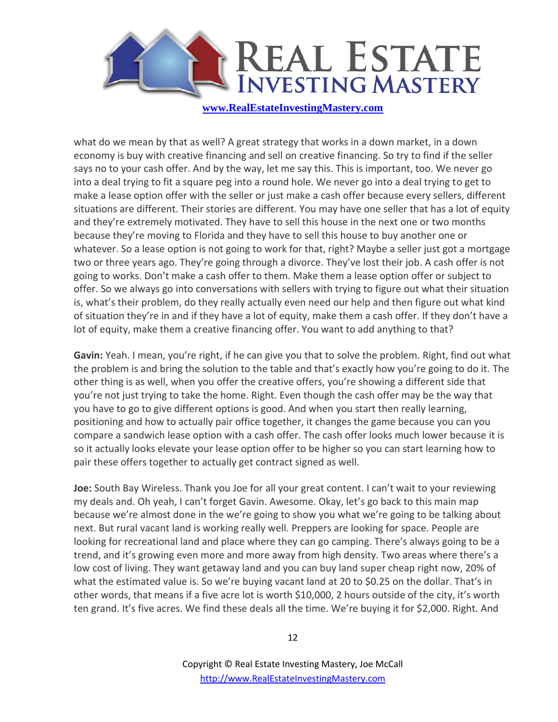

what do we mean by that as well? A great strategy that works in a down market, in a down economy is buy with creative financing and sell on creative financing. So try to find if the seller says no to your cash offer. And by the way, let me say this. This is important, too. We never go into a deal trying to fit a square peg into a round hole. We never go into a deal trying to get to make a lease option offer with the seller or just make a cash offer because every sellers, different situations are different. Their stories are different. You may have one seller that has a lot of equity and they're extremely motivated. They have to sell this house in the next one or two months because they're moving to Florida and they have to sell this house to buy another one or whatever. So a lease option is not going to work for that, right? Maybe a seller just got a mortgage two or three years ago. They're going through a divorce. They've lost their job. A cash offer is not going to works. Don't make a cash offer to them. Make them a lease option offer or subject to offer. So we always go into conversations with sellers with trying to figure out what their situation is, what's their problem, do they really actually even need our help and then figure out what kind of situation they're in and if they have a lot of equity, make them a cash offer. If they don't have a lot of equity, make them a creative financing offer. You want to add anything to that?

**Gavin:** Yeah. I mean, you're right, if he can give you that to solve the problem. Right, find out what the problem is and bring the solution to the table and that's exactly how you're going to do it. The other thing is as well, when you offer the creative offers, you're showing a different side that you're not just trying to take the home. Right. Even though the cash offer may be the way that you have to go to give different options is good. And when you start then really learning, positioning and how to actually pair office together, it changes the game because you can you compare a sandwich lease option with a cash offer. The cash offer looks much lower because it is so it actually looks elevate your lease option offer to be higher so you can start learning how to pair these offers together to actually get contract signed as well.

**Joe:** South Bay Wireless. Thank you Joe for all your great content. I can't wait to your reviewing my deals and. Oh yeah, I can't forget Gavin. Awesome. Okay, let's go back to this main map because we're almost done in the we're going to show you what we're going to be talking about next. But rural vacant land is working really well. Preppers are looking for space. People are looking for recreational land and place where they can go camping. There's always going to be a trend, and it's growing even more and more away from high density. Two areas where there's a low cost of living. They want getaway land and you can buy land super cheap right now, 20% of what the estimated value is. So we're buying vacant land at 20 to \$0.25 on the dollar. That's in other words, that means if a five acre lot is worth \$10,000, 2 hours outside of the city, it's worth ten grand. It's five acres. We find these deals all the time. We're buying it for \$2,000. Right. And